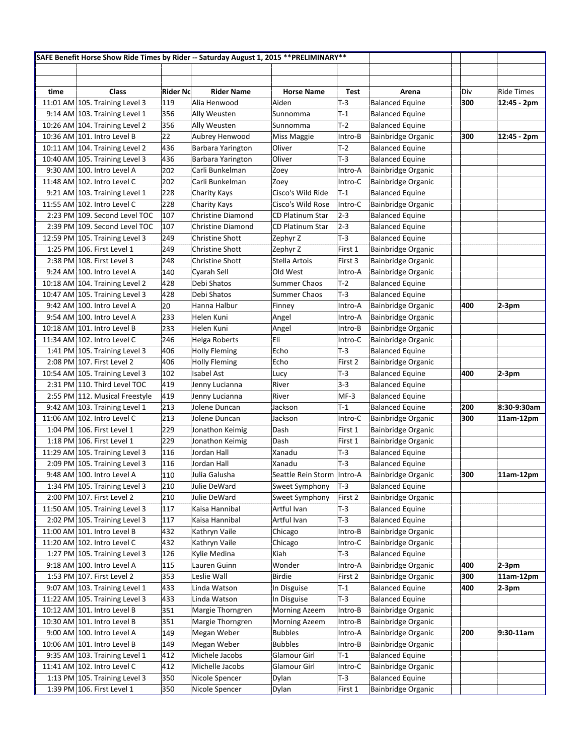